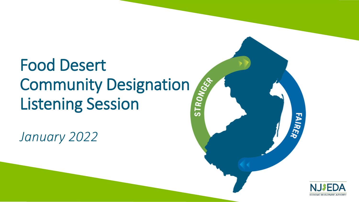# Food Desert **Community Designation<br>Listening Session** Listening Session

*January 2022*



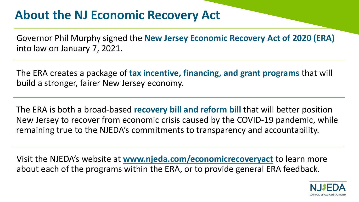### **About the NJ Economic Recovery Act**

Governor Phil Murphy signed the **New Jersey Economic Recovery Act of 2020 (ERA)**  into law on January 7, 2021.

The ERA creates a package of **tax incentive, financing, and grant programs** that will build a stronger, fairer New Jersey economy.

The ERA is both a broad-based **recovery bill and reform bill** that will better position New Jersey to recover from economic crisis caused by the COVID-19 pandemic, while remaining true to the NJEDA's commitments to transparency and accountability.

Visit the NJEDA's website at **[www.njeda.com/economicrecoveryact](http://www.njeda.com/economicrecoveryact)** to learn more about each of the programs within the ERA, or to provide general ERA feedback.

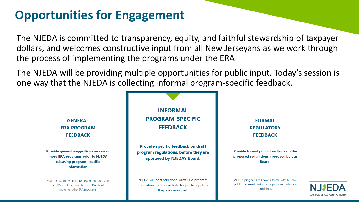### **Opportunities for Engagement**

The NJEDA is committed to transparency, equity, and faithful stewardship of taxpayer dollars, and welcomes constructive input from all New Jerseyans as we work through the process of implementing the programs under the ERA.

. one way that the NJEDA is collecting informal program-specific feedback.The NJEDA will be providing multiple opportunities for public input. Today's session is



Provide general suggestions on one or more ERA programs prior to NJEDA releasing program-specific information.

You can use this website to provide thoughts on the ERA legislation and how NJEDA should implement the ERA programs.

**INFORMAL PROGRAM-SPECIFIC FEEDBACK** 

Provide specific feedback on draft program regulations, before they are approved by NJEDA's Board.

NJEDA will post additional draft ERA program regulations on this website for public input as they are developed.

**FORMAL REGULATORY FEEDBACK** 

Provide formal public feedback on the proposed regulations approved by our **Board.** 

All ERA programs will have a formal APA 60-day public comment period once proposed rules are published.

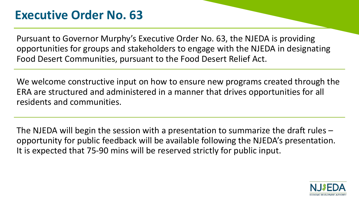### **Executive Order No. 63**

Pursuant to Governor Murphy's Executive Order No. 63, the NJEDA is providing opportunities for groups and stakeholders to engage with the NJEDA in designating Food Desert Communities, pursuant to the Food Desert Relief Act.

We welcome constructive input on how to ensure new programs created through the ERA are structured and administered in a manner that drives opportunities for all residents and communities.

The NJEDA will begin the session with a presentation to summarize the draft rules – opportunity for public feedback will be available following the NJEDA's presentation. It is expected that 75-90 mins will be reserved strictly for public input.

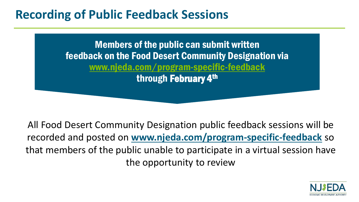### **Recording of Public Feedback Sessions**

Members of the public can submit written feedback on the Food Desert Community Designation via [www.njeda.com/program-specific-feedback](http://www.njeda.com/program-specific-feedback) through February 4th

All Food Desert Community Designation public feedback sessions will be recorded and posted on **[www.njeda.com/program-specific-feedback](http://www.njeda.com/program-specific-feedback)** so that members of the public unable to participate in a virtual session have the opportunity to review

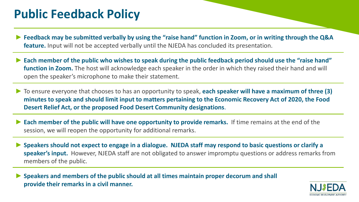### **Public Feedback Policy**

- ► **Feedback may be submitted verbally by using the "raise hand" function in Zoom, or in writing through the Q&A feature.** Input will not be accepted verbally until the NJEDA has concluded its presentation.
- ► **Each member of the public who wishes to speak during the public feedback period should use the "raise hand" function in Zoom.** The host will acknowledge each speaker in the order in which they raised their hand and will open the speaker's microphone to make their statement.
- ► To ensure everyone that chooses to has an opportunity to speak, **each speaker will have a maximum of three (3) minutes to speak and should limit input to matters pertaining to the Economic Recovery Act of 2020, the Food Desert Relief Act, or the proposed Food Desert Community designations**.
- **Each member of the public will have one opportunity to provide remarks.** If time remains at the end of the session, we will reopen the opportunity for additional remarks.
- ► **Speakers should not expect to engage in a dialogue. NJEDA staff may respond to basic questions or clarify a speaker's input.** However, NJEDA staff are not obligated to answer impromptu questions or address remarks from members of the public.

► **Speakers and members of the public should at all times maintain proper decorum and shall provide their remarks in a civil manner.**

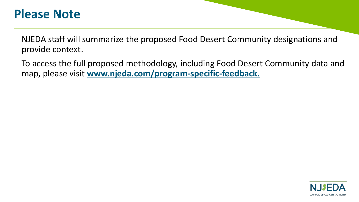### **Please Note**

NJEDA staff will summarize the proposed Food Desert Community designations and provide context.

To access the full proposed methodology, including Food Desert Community data and map, please visit **www.njeda.com/program-specific-feedback.** 

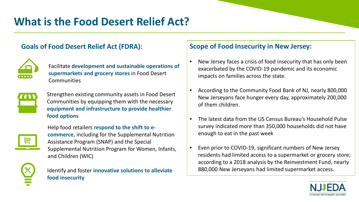### **What is the Food Desert Relief Act?**

#### **Goals of Food Desert Relief Act (FDRA):**



Facilitate **development and sustainable operations of supermarkets and grocery stores** in Food Desert **Communities** 



Strengthen existing community assets in Food Desert Communities by equipping them with the necessary **equipment and infrastructure to provide healthier food options**



Help food retailers **respond to the shift to ecommerce**, including for the Supplemental Nutrition Assistance Program (SNAP) and the Special Supplemental Nutrition Program for Women, Infants, and Children (WIC)



Identify and foster **innovative solutions to alleviate food insecurity**

#### **Scope of Food Insecurity in New Jersey:**

- New Jersey faces a crisis of food insecurity that has only been exacerbated by the COVID-19 pandemic and its economic impacts on families across the state.
- According to the Community Food Bank of NJ, nearly 800,000 New Jerseyans face hunger every day, approximately 200,000 of them children.
- The latest data from the US Census Bureau's Household Pulse survey indicated more than 350,000 households did not have enough to eat in the past week
- Even prior to COVID-19, significant numbers of New Jersey residents had limited access to a supermarket or grocery store; according to a 2018 analysis by the Reinvestment Fund, nearly 880,000 New Jerseyans had limited supermarket access.

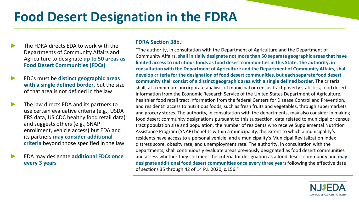# **Food Desert Designation in the FDRA**

- The FDRA directs EDA to work with the Departments of Community Affairs and Agriculture to designate **up to 50 areas as Food Desert Communities (FDCs)**
- ► FDCs must be **distinct geographic areas with a single defined border**, but the size of that area is not defined in the law
- ► The law directs EDA and its partners to use certain evaluative criteria (e.g., USDA ERS data, US CDC healthy food retail data) and suggests others (e.g., SNAP enrollment, vehicle access) but EDA and its partners **may consider additional criteria** beyond those specified in the law
- ► EDA may designate **additional FDCs once every 3 years**

#### **FDRA Section 38b.:**

"The authority, in consultation with the Department of Agriculture and the Department of Community Affairs, **shall initially designate not more than 50 separate geographic areas that have limited access to nutritious foods as food desert communities in this State. The authority, in consultation with the Department of Agriculture and the Department of Community Affairs, shall develop criteria for the designation of food desert communities, but each separate food desert community shall consist of a distinct geographic area with a single defined border.** The criteria shall, at a minimum, incorporate analysis of municipal or census tract poverty statistics, food desert information from the Economic Research Service of the United States Department of Agriculture, healthier food retail tract information from the federal Centers for Disease Control and Prevention, and residents' access to nutritious foods, such as fresh fruits and vegetables, through supermarkets and grocery stores. The authority, in consultation with the departments, may also consider in making food desert community designations pursuant to this subsection, data related to municipal or census tract population size and population, the number of residents who receive Supplemental Nutrition Assistance Program (SNAP) benefits within a municipality, the extent to which a municipality's residents have access to a personal vehicle, and a municipality's Municipal Revitalization Index distress score, obesity rate, and unemployment rate. The authority, in consultation with the departments, shall continuously evaluate areas previously designated as food desert communities and assess whether they still meet the criteria for designation as a food desert community and **may designate additional food desert communities once every three years** following the effective date of sections 35 through 42 of 14 P.L.2020, c.156."

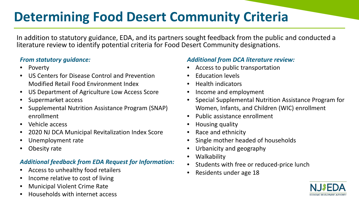# **Determining Food Desert Community Criteria**

In addition to statutory guidance, EDA, and its partners sought feedback from the public and conducted a literature review to identify potential criteria for Food Desert Community designations.

#### *From statutory guidance:*

- Poverty
- US Centers for Disease Control and Prevention Modified Retail Food Environment Index
- US Department of Agriculture Low Access Score
- Supermarket access
- Supplemental Nutrition Assistance Program (SNAP) enrollment
- Vehicle access
- 2020 NJ DCA Municipal Revitalization Index Score
- Unemployment rate
- Obesity rate

#### *Additional feedback from EDA Request for Information:*

- Access to unhealthy food retailers
- Income relative to cost of living
- Municipal Violent Crime Rate
- Households with internet access

#### *Additional from DCA literature review:*

- Access to public transportation
- Education levels
- Health indicators
- Income and employment
- Special Supplemental Nutrition Assistance Program for Women, Infants, and Children (WIC) enrollment
- Public assistance enrollment
- Housing quality
- Race and ethnicity
- Single mother headed of households
- Urbanicity and geography
- Walkability
- Students with free or reduced-price lunch
- Residents under age 18

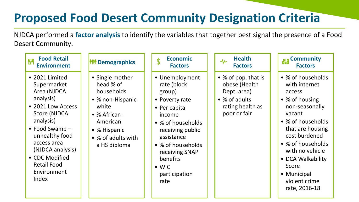#### **Based on factor analysis, variables were prioritized for final designation Proposed Food Desert Community Designation Criteria**

NJDCA performed a **factor analysis** to identify the variables that together best signal the presence of a Food Desert Community.

| <b>Food Retail</b><br>們<br><b>Environment</b>                                                                                                                                                                                                              | <b>Mini</b> Demographics                                                                                                                                  | <b>Economic</b><br>$\oint$<br><b>Factors</b>                                                                                                                                                                                            | <b>Health</b><br>$\mathcal{M}$<br><b>Factors</b>                                                         | <b>AND Community</b><br><b>Factors</b>                                                                                                                                                                                                                                      |
|------------------------------------------------------------------------------------------------------------------------------------------------------------------------------------------------------------------------------------------------------------|-----------------------------------------------------------------------------------------------------------------------------------------------------------|-----------------------------------------------------------------------------------------------------------------------------------------------------------------------------------------------------------------------------------------|----------------------------------------------------------------------------------------------------------|-----------------------------------------------------------------------------------------------------------------------------------------------------------------------------------------------------------------------------------------------------------------------------|
| • 2021 Limited<br>Supermarket<br>Area (NJDCA<br>analysis)<br>• 2021 Low Access<br>Score (NJDCA<br>analysis)<br>$\bullet$ Food Swamp -<br>unhealthy food<br>access area<br>(NJDCA analysis)<br>• CDC Modified<br><b>Retail Food</b><br>Environment<br>Index | • Single mother<br>head % of<br>households<br>• % non-Hispanic<br>white<br>• % African-<br>American<br>• % Hispanic<br>• % of adults with<br>a HS diploma | • Unemployment<br>rate (block<br>group)<br>• Poverty rate<br>• Per capita<br>income<br>• % of households<br>receiving public<br>assistance<br>• % of households<br>receiving SNAP<br>benefits<br>$\bullet$ WIC<br>participation<br>rate | • % of pop. that is<br>obese (Health<br>Dept. area)<br>• % of adults<br>rating health as<br>poor or fair | • % of households<br>with internet<br>access<br>• % of housing<br>non-seasonally<br>vacant<br>• % of households<br>that are housing<br>cost burdened<br>• % of households<br>with no vehicle<br>• DCA Walkability<br>Score<br>• Municipal<br>violent crime<br>rate, 2016-18 |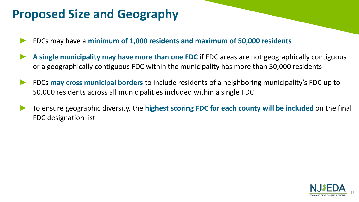## **Proposed Size and Geography**

- ► FDCs may have a **minimum of 1,000 residents and maximum of 50,000 residents**
- A single municipality may have more than one FDC if FDC areas are not geographically contiguous or a geographically contiguous FDC within the municipality has more than 50,000 residents
- ► FDCs **may cross municipal borders** to include residents of a neighboring municipality's FDC up to 50,000 residents across all municipalities included within a single FDC
- ► To ensure geographic diversity, the **highest scoring FDC for each county will be included** on the final FDC designation list

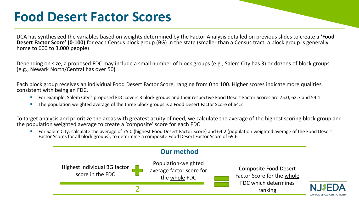# **Food Desert Factor Scores**

DCA has synthesized the variables based on weights determined by the Factor Analysis detailed on previous slides to create a **'Food Desert Factor Score' (0-100)** for each Census block group (BG) in the state (smaller than a Census tract, a block group is generally home to 600 to 3,000 people)

Depending on size, a proposed FDC may include a small number of block groups (e.g., Salem City has 3) or dozens of block groups (e.g., Newark North/Central has over 50)

Each block group receives an individual Food Desert Factor Score, ranging from 0 to 100. Higher scores indicate more qualities consistent with being an FDC.

- For example, Salem City's proposed FDC covers 3 block groups and their respective Food Desert Factor Scores are 75.0, 62.7 and 54.1
- The population weighted average of the three block groups is a Food Desert Factor Score of 64.2

To target analysis and prioritize the areas with greatest acuity of need, we calculate the average of the highest scoring block group and the population weighted average to create a 'composite' score for each FDC

For Salem City: calculate the average of 75.0 (highest Food Desert Factor Score) and 64.2 (population weighted average of the Food Desert Factor Scores for all block groups), to determine a composite Food Desert Factor Score of 69.6

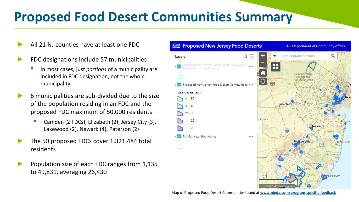# **Proposed Food Desert Communities Summary**

- ► All 21 NJ counties have at least one FDC
- FDC designations include 57 municipalities
	- In most cases, just *portions* of a municipality are included in FDC designation, not the whole municipality
- ► 6 municipalities are sub-divided due to the size of the population residing in an FDC and the proposed FDC maximum of 50,000 residents
	- Camden (2 FDCs), Elizabeth (2), Jersey City (3), Lakewood (2), Newark (4), Paterson (2)
- The 50 proposed FDCs cover 1,321,484 total residents
- Population size of each FDC ranges from 1,135 to 49,831, averaging 26,430

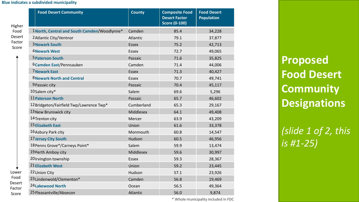#### **Blue indicates a subdivided municipality**

| Higher                            | <b>Food Desert Community</b>                | <b>County</b>    | <b>Composite Food</b><br><b>Desert Factor</b><br><b>Score (0-100)</b> | <b>Food Desert</b><br><b>Population</b> |
|-----------------------------------|---------------------------------------------|------------------|-----------------------------------------------------------------------|-----------------------------------------|
| Food<br>Desert<br>Factor<br>Score | 1North, Central and South Camden/Woodlynne* | Camden           | 85.4                                                                  | 34,228                                  |
|                                   | 2 Atlantic City/Ventnor                     | Atlantic         | 79.1                                                                  | 37,877                                  |
|                                   | <b>3 Newark South</b>                       | <b>Essex</b>     | 75.2                                                                  | 42,713                                  |
|                                   | 4 Newark West                               | <b>Essex</b>     | 72.7                                                                  | 49,065                                  |
|                                   | <b>5 Paterson South</b>                     | Passaic          | 71.6                                                                  | 35,825                                  |
|                                   | 6 Camden East/Pennsauken                    | Camden           | 71.4                                                                  | 44,006                                  |
|                                   | <b>7 Newark East</b>                        | <b>Essex</b>     | 71.3                                                                  | 40,427                                  |
|                                   | <b>8 Newark North and Central</b>           | <b>Essex</b>     | 70.7                                                                  | 49,741                                  |
|                                   | 9 Passaic city                              | Passaic          | 70.4                                                                  | 45,117                                  |
|                                   | 10Salem city*                               | Salem            | 69.6                                                                  | 5,296                                   |
|                                   | 11 Paterson North                           | Passaic          | 65.7                                                                  | 46,602                                  |
|                                   | 12 Bridgeton/Fairfield Twp/Lawrence Twp*    | Cumberland       | 65.3                                                                  | 29,167                                  |
|                                   | 13 New Brunswick city                       | <b>Middlesex</b> | 64.1                                                                  | 49,408                                  |
|                                   | 14 Trenton city                             | Mercer           | 63.9                                                                  | 43,209                                  |
|                                   | <b>15 Elizabeth East</b>                    | Union            | 61.6                                                                  | 33,378                                  |
|                                   | 16 Asbury Park city                         | Monmouth         | 60.8                                                                  | 14,547                                  |
|                                   | 17 Jersey City South                        | Hudson           | 60.5                                                                  | 46,956                                  |
|                                   | 18 Penns Grove*/Carneys Point*              | Salem            | 59.9                                                                  | 13,474                                  |
|                                   | 19 Perth Amboy city                         | <b>Middlesex</b> | 59.6                                                                  | 30,997                                  |
|                                   | 20 Irvington township                       | <b>Essex</b>     | 59.3                                                                  | 28,367                                  |
|                                   | 21 Elizabeth West                           | Union            | 59.2                                                                  | 23,445                                  |
| Lower                             | 22 Union City                               | Hudson           | 57.1                                                                  | 23,926                                  |
| Food                              | 23Lindenwold/Clementon*                     | Camden           | 56.8                                                                  | 19,469                                  |
| Desert<br>Factor                  | 24 Lakewood North                           | Ocean            | 56.5                                                                  | 49,364                                  |
| Score                             | 25 Pleasantville/Absecon                    | <b>Atlantic</b>  | 56.0                                                                  | 9,874                                   |

\* Whole municipality included in FDC

**Proposed Food Desert Community Designations**

*(slide 1 of 2, this is #1-25)*

Lov Fo Des Fact Score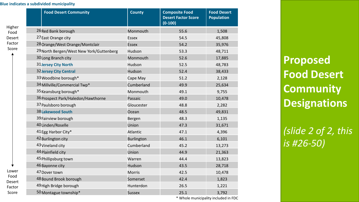#### **Blue indicates a subdivided municipality**

|                                             | <b>Food Desert Community</b>             | <b>County</b>     | <b>Composite Food</b><br><b>Desert Factor Score</b><br>$(0-100)$ | <b>Food Desert</b><br><b>Population</b> |
|---------------------------------------------|------------------------------------------|-------------------|------------------------------------------------------------------|-----------------------------------------|
| Higher<br>Food<br>Desert<br>Factor<br>Score | 26 Red Bank borough                      | Monmouth          | 55.6                                                             | 1,508                                   |
|                                             | 27 East Orange city                      | <b>Essex</b>      | 54.5                                                             | 45,808                                  |
|                                             | 28 Orange/West Orange/Montclair          | <b>Essex</b>      | 54.2                                                             | 35,976                                  |
|                                             | 29 North Bergen/West New York/Guttenberg | Hudson            | 53.3                                                             | 48,711                                  |
|                                             | 30Long Branch city                       | Monmouth          | 52.6                                                             | 17,885                                  |
|                                             | <b>31 Jersey City North</b>              | Hudson            | 52.5                                                             | 48,783                                  |
|                                             | <b>32 Jersey City Central</b>            | Hudson            | 52.4                                                             | 38,433                                  |
|                                             | 33 Woodbine borough*                     | Cape May          | 51.2                                                             | 2,128                                   |
|                                             | 34 Millville/Commercial Twp*             | Cumberland        | 49.9                                                             | 25,634                                  |
|                                             | 35 Keansburg borough*                    | Monmouth          | 49.1                                                             | 9,755                                   |
|                                             | 36 Prospect Park/Haledon/Hawthorne       | Passaic           | 49.0                                                             | 10,478                                  |
|                                             | 37 Paulsboro borough                     | Gloucester        | 48.8                                                             | 2,282                                   |
|                                             | <b>38 Lakewood South</b>                 | Ocean             | 48.5                                                             | 49,831                                  |
|                                             | 39 Fairview borough                      | Bergen            | 48.3                                                             | 1,135                                   |
|                                             | 40Linden/Roselle                         | Union             | 47.3                                                             | 31,671                                  |
|                                             | 41 Egg Harbor City*                      | Atlantic          | 47.1                                                             | 4,396                                   |
|                                             | 42 Burlington city                       | <b>Burlington</b> | 46.1                                                             | 6,101                                   |
|                                             | 43 Vineland city                         | Cumberland        | 45.2                                                             | 13,273                                  |
|                                             | 44 Plainfield city                       | Union             | 44.9                                                             | 21,363                                  |
|                                             | 45 Phillipsburg town                     | Warren            | 44.4                                                             | 13,823                                  |
|                                             | 46 Bayonne city                          | Hudson            | 43.5                                                             | 28,718                                  |
| Lower<br>Food<br>Desert<br>Factor           | 47 Dover town                            | <b>Morris</b>     | 42.5                                                             | 10,478                                  |
|                                             | 48 Bound Brook borough                   | Somerset          | 42.4                                                             | 1,823                                   |
|                                             | 49 High Bridge borough                   | Hunterdon         | 26.5                                                             | 1,221                                   |
| Score                                       | 50 Montague township*                    | <b>Sussex</b>     | 25.1                                                             | 3,792                                   |

\* Whole municipality included in FDC

**Proposed Food Desert Community Designations**

*(slide 2 of 2, this is #26-50)*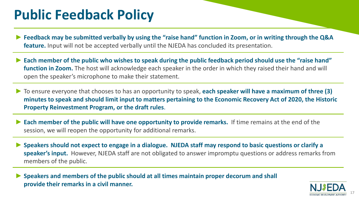# **Public Feedback Policy**

- ► **Feedback may be submitted verbally by using the "raise hand" function in Zoom, or in writing through the Q&A feature.** Input will not be accepted verbally until the NJEDA has concluded its presentation.
- ► **Each member of the public who wishes to speak during the public feedback period should use the "raise hand" function in Zoom.** The host will acknowledge each speaker in the order in which they raised their hand and will open the speaker's microphone to make their statement.
- ► To ensure everyone that chooses to has an opportunity to speak, **each speaker will have a maximum of three (3) minutes to speak and should limit input to matters pertaining to the Economic Recovery Act of 2020, the Historic Property Reinvestment Program, or the draft rules**.
- **Each member of the public will have one opportunity to provide remarks.** If time remains at the end of the session, we will reopen the opportunity for additional remarks.
- ► **Speakers should not expect to engage in a dialogue. NJEDA staff may respond to basic questions or clarify a speaker's input.** However, NJEDA staff are not obligated to answer impromptu questions or address remarks from members of the public.

► **Speakers and members of the public should at all times maintain proper decorum and shall provide their remarks in a civil manner.**

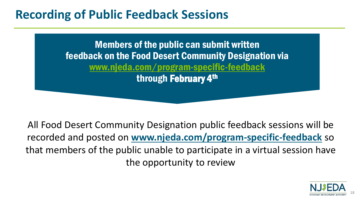### **Recording of Public Feedback Sessions**

Members of the public can submit written feedback on the Food Desert Community Designation via [www.njeda.com/program-specific-feedback](http://www.njeda.com/program-specific-feedback) through February 4th

All Food Desert Community Designation public feedback sessions will be recorded and posted on **[www.njeda.com/program-specific-feedback](http://www.njeda.com/program-specific-feedback)** so that members of the public unable to participate in a virtual session have the opportunity to review